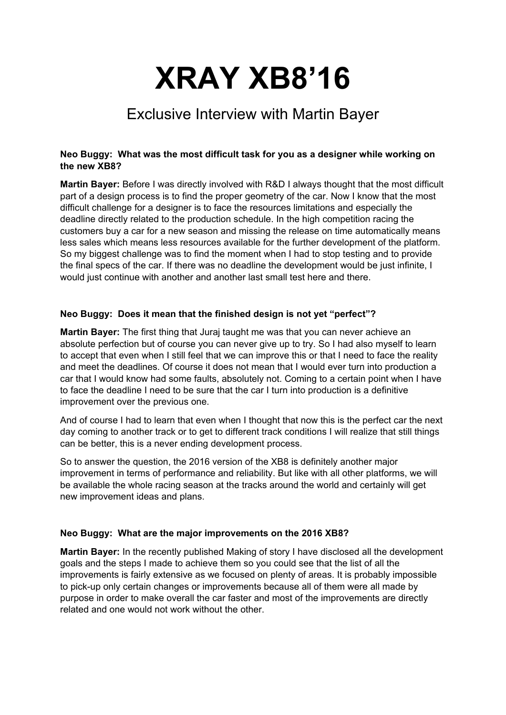# **XRAY XB8'16**

# Exclusive Interview with Martin Bayer

# **Neo Buggy: What was the most difficult task for you as a designer while working on the new XB8?**

**Martin Bayer:** Before I was directly involved with R&D I always thought that the most difficult part of a design process is to find the proper geometry of the car. Now I know that the most difficult challenge for a designer is to face the resources limitations and especially the deadline directly related to the production schedule. In the high competition racing the customers buy a car for a new season and missing the release on time automatically means less sales which means less resources available for the further development of the platform. So my biggest challenge was to find the moment when I had to stop testing and to provide the final specs of the car. If there was no deadline the development would be just infinite, I would just continue with another and another last small test here and there.

# **Neo Buggy: Does it mean that the finished design is not yet "perfect"?**

**Martin Bayer:** The first thing that Juraj taught me was that you can never achieve an absolute perfection but of course you can never give up to try. So I had also myself to learn to accept that even when I still feel that we can improve this or that I need to face the reality and meet the deadlines. Of course it does not mean that I would ever turn into production a car that I would know had some faults, absolutely not. Coming to a certain point when I have to face the deadline I need to be sure that the car I turn into production is a definitive improvement over the previous one.

And of course I had to learn that even when I thought that now this is the perfect car the next day coming to another track or to get to different track conditions I will realize that still things can be better, this is a never ending development process.

So to answer the question, the 2016 version of the XB8 is definitely another major improvement in terms of performance and reliability. But like with all other platforms, we will be available the whole racing season at the tracks around the world and certainly will get new improvement ideas and plans.

#### **Neo Buggy: What are the major improvements on the 2016 XB8?**

**Martin Bayer:** In the recently published Making of story I have disclosed all the development goals and the steps I made to achieve them so you could see that the list of all the improvements is fairly extensive as we focused on plenty of areas. It is probably impossible to pick-up only certain changes or improvements because all of them were all made by purpose in order to make overall the car faster and most of the improvements are directly related and one would not work without the other.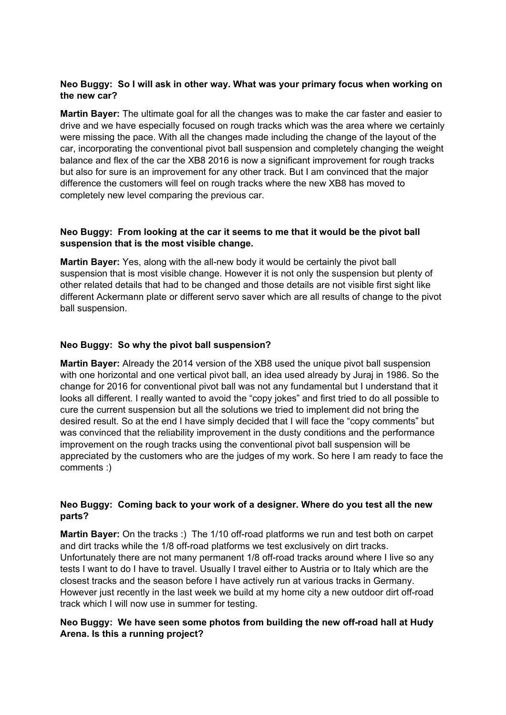## **Neo Buggy: So I will ask in other way. What was your primary focus when working on the new car?**

**Martin Bayer:** The ultimate goal for all the changes was to make the car faster and easier to drive and we have especially focused on rough tracks which was the area where we certainly were missing the pace. With all the changes made including the change of the layout of the car, incorporating the conventional pivot ball suspension and completely changing the weight balance and flex of the car the XB8 2016 is now a significant improvement for rough tracks but also for sure is an improvement for any other track. But I am convinced that the major difference the customers will feel on rough tracks where the new XB8 has moved to completely new level comparing the previous car.

# **Neo Buggy: From looking at the car it seems to me that it would be the pivot ball suspension that is the most visible change.**

**Martin Bayer:** Yes, along with the all-new body it would be certainly the pivot ball suspension that is most visible change. However it is not only the suspension but plenty of other related details that had to be changed and those details are not visible first sight like different Ackermann plate or different servo saver which are all results of change to the pivot ball suspension.

# **Neo Buggy: So why the pivot ball suspension?**

**Martin Bayer:** Already the 2014 version of the XB8 used the unique pivot ball suspension with one horizontal and one vertical pivot ball, an idea used already by Juraj in 1986. So the change for 2016 for conventional pivot ball was not any fundamental but I understand that it looks all different. I really wanted to avoid the "copy jokes" and first tried to do all possible to cure the current suspension but all the solutions we tried to implement did not bring the desired result. So at the end I have simply decided that I will face the "copy comments" but was convinced that the reliability improvement in the dusty conditions and the performance improvement on the rough tracks using the conventional pivot ball suspension will be appreciated by the customers who are the judges of my work. So here I am ready to face the comments :)

# **Neo Buggy: Coming back to your work of a designer. Where do you test all the new parts?**

**Martin Bayer:** On the tracks :) The 1/10 off-road platforms we run and test both on carpet and dirt tracks while the 1/8 off-road platforms we test exclusively on dirt tracks. Unfortunately there are not many permanent 1/8 off-road tracks around where I live so any tests I want to do I have to travel. Usually I travel either to Austria or to Italy which are the closest tracks and the season before I have actively run at various tracks in Germany. However just recently in the last week we build at my home city a new outdoor dirt off-road track which I will now use in summer for testing.

# **Neo Buggy: We have seen some photos from building the new off-road hall at Hudy Arena. Is this a running project?**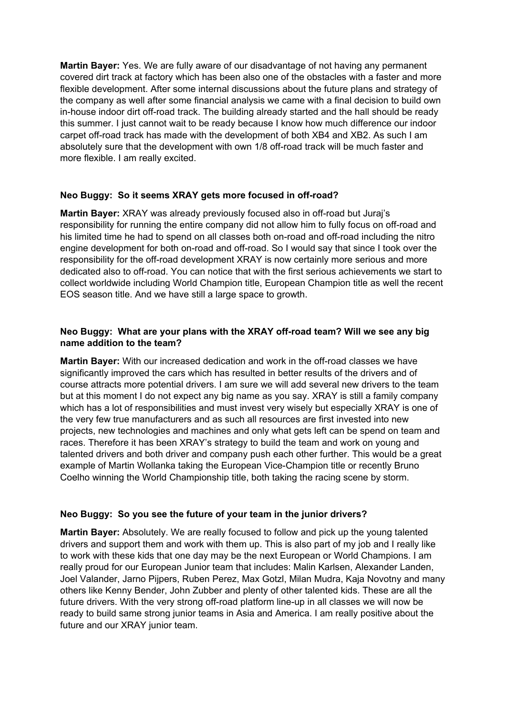**Martin Bayer:** Yes. We are fully aware of our disadvantage of not having any permanent covered dirt track at factory which has been also one of the obstacles with a faster and more flexible development. After some internal discussions about the future plans and strategy of the company as well after some financial analysis we came with a final decision to build own in-house indoor dirt off-road track. The building already started and the hall should be ready this summer. I just cannot wait to be ready because I know how much difference our indoor carpet off-road track has made with the development of both XB4 and XB2. As such I am absolutely sure that the development with own 1/8 off-road track will be much faster and more flexible. I am really excited.

# **Neo Buggy: So it seems XRAY gets more focused in off-road?**

**Martin Bayer:** XRAY was already previously focused also in off-road but Juraj's responsibility for running the entire company did not allow him to fully focus on off-road and his limited time he had to spend on all classes both on-road and off-road including the nitro engine development for both on-road and off-road. So I would say that since I took over the responsibility for the off-road development XRAY is now certainly more serious and more dedicated also to off-road. You can notice that with the first serious achievements we start to collect worldwide including World Champion title, European Champion title as well the recent EOS season title. And we have still a large space to growth.

# **Neo Buggy: What are your plans with the XRAY off-road team? Will we see any big name addition to the team?**

**Martin Bayer:** With our increased dedication and work in the off-road classes we have significantly improved the cars which has resulted in better results of the drivers and of course attracts more potential drivers. I am sure we will add several new drivers to the team but at this moment I do not expect any big name as you say. XRAY is still a family company which has a lot of responsibilities and must invest very wisely but especially XRAY is one of the very few true manufacturers and as such all resources are first invested into new projects, new technologies and machines and only what gets left can be spend on team and races. Therefore it has been XRAY's strategy to build the team and work on young and talented drivers and both driver and company push each other further. This would be a great example of Martin Wollanka taking the European Vice-Champion title or recently Bruno Coelho winning the World Championship title, both taking the racing scene by storm.

#### **Neo Buggy: So you see the future of your team in the junior drivers?**

**Martin Bayer:** Absolutely. We are really focused to follow and pick up the young talented drivers and support them and work with them up. This is also part of my job and I really like to work with these kids that one day may be the next European or World Champions. I am really proud for our European Junior team that includes: Malin Karlsen, Alexander Landen, Joel Valander, Jarno Pijpers, Ruben Perez, Max Gotzl, Milan Mudra, Kaja Novotny and many others like Kenny Bender, John Zubber and plenty of other talented kids. These are all the future drivers. With the very strong off-road platform line-up in all classes we will now be ready to build same strong junior teams in Asia and America. I am really positive about the future and our XRAY junior team.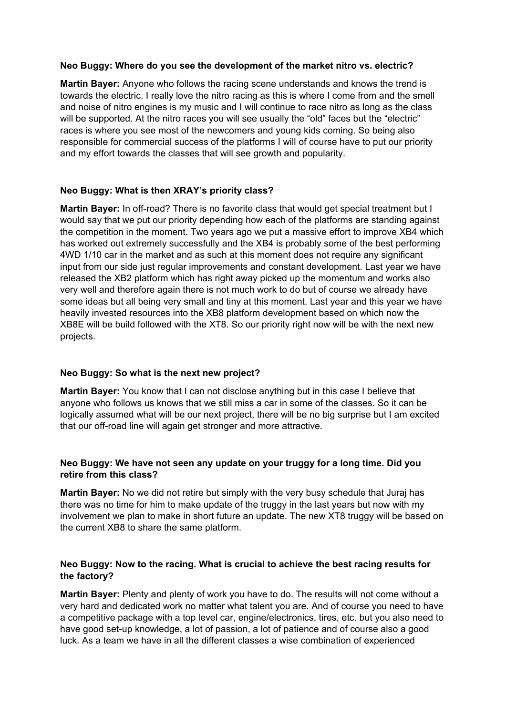#### **Neo Buggy: Where do you see the development of the market nitro vs. electric?**

**Martin Bayer:** Anyone who follows the racing scene understands and knows the trend is towards the electric. I really love the nitro racing as this is where I come from and the smell and noise of nitro engines is my music and I will continue to race nitro as long as the class will be supported. At the nitro races you will see usually the "old" faces but the "electric" races is where you see most of the newcomers and young kids coming. So being also responsible for commercial success of the platforms I will of course have to put our priority and my effort towards the classes that will see growth and popularity.

#### **Neo Buggy: What is then XRAY's priority class?**

**Martin Bayer:** In off-road? There is no favorite class that would get special treatment but I would say that we put our priority depending how each of the platforms are standing against the competition in the moment. Two years ago we put a massive effort to improve XB4 which has worked out extremely successfully and the XB4 is probably some of the best performing 4WD 1/10 car in the market and as such at this moment does not require any significant input from our side just regular improvements and constant development. Last year we have released the XB2 platform which has right away picked up the momentum and works also very well and therefore again there is not much work to do but of course we already have some ideas but all being very small and tiny at this moment. Last year and this year we have heavily invested resources into the XB8 platform development based on which now the XB8E will be build followed with the XT8. So our priority right now will be with the next new projects.

#### **Neo Buggy: So what is the next new project?**

**Martin Bayer:** You know that I can not disclose anything but in this case I believe that anyone who follows us knows that we still miss a car in some of the classes. So it can be logically assumed what will be our next project, there will be no big surprise but I am excited that our off-road line will again get stronger and more attractive.

#### **Neo Buggy: We have not seen any update on your truggy for a long time. Did you retire from this class?**

**Martin Bayer:** No we did not retire but simply with the very busy schedule that Juraj has there was no time for him to make update of the truggy in the last years but now with my involvement we plan to make in short future an update. The new XT8 truggy will be based on the current XB8 to share the same platform.

#### **Neo Buggy: Now to the racing. What is crucial to achieve the best racing results for the factory?**

**Martin Bayer:** Plenty and plenty of work you have to do. The results will not come without a very hard and dedicated work no matter what talent you are. And of course you need to have a competitive package with a top level car, engine/electronics, tires, etc. but you also need to have good set-up knowledge, a lot of passion, a lot of patience and of course also a good luck. As a team we have in all the different classes a wise combination of experienced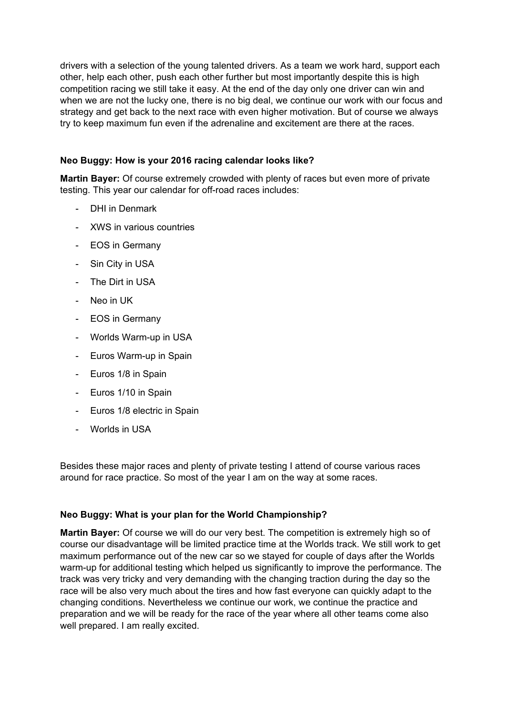drivers with a selection of the young talented drivers. As a team we work hard, support each other, help each other, push each other further but most importantly despite this is high competition racing we still take it easy. At the end of the day only one driver can win and when we are not the lucky one, there is no big deal, we continue our work with our focus and strategy and get back to the next race with even higher motivation. But of course we always try to keep maximum fun even if the adrenaline and excitement are there at the races.

# **Neo Buggy: How is your 2016 racing calendar looks like?**

**Martin Bayer:** Of course extremely crowded with plenty of races but even more of private testing. This year our calendar for off-road races includes:

- DHI in Denmark
- XWS in various countries
- EOS in Germany
- Sin City in USA
- The Dirt in USA
- Neo in UK
- EOS in Germany
- Worlds Warm-up in USA
- Euros Warm-up in Spain
- Euros 1/8 in Spain
- Euros 1/10 in Spain
- Euros 1/8 electric in Spain
- Worlds in USA

Besides these major races and plenty of private testing I attend of course various races around for race practice. So most of the year I am on the way at some races.

#### **Neo Buggy: What is your plan for the World Championship?**

**Martin Bayer:** Of course we will do our very best. The competition is extremely high so of course our disadvantage will be limited practice time at the Worlds track. We still work to get maximum performance out of the new car so we stayed for couple of days after the Worlds warm-up for additional testing which helped us significantly to improve the performance. The track was very tricky and very demanding with the changing traction during the day so the race will be also very much about the tires and how fast everyone can quickly adapt to the changing conditions. Nevertheless we continue our work, we continue the practice and preparation and we will be ready for the race of the year where all other teams come also well prepared. I am really excited.